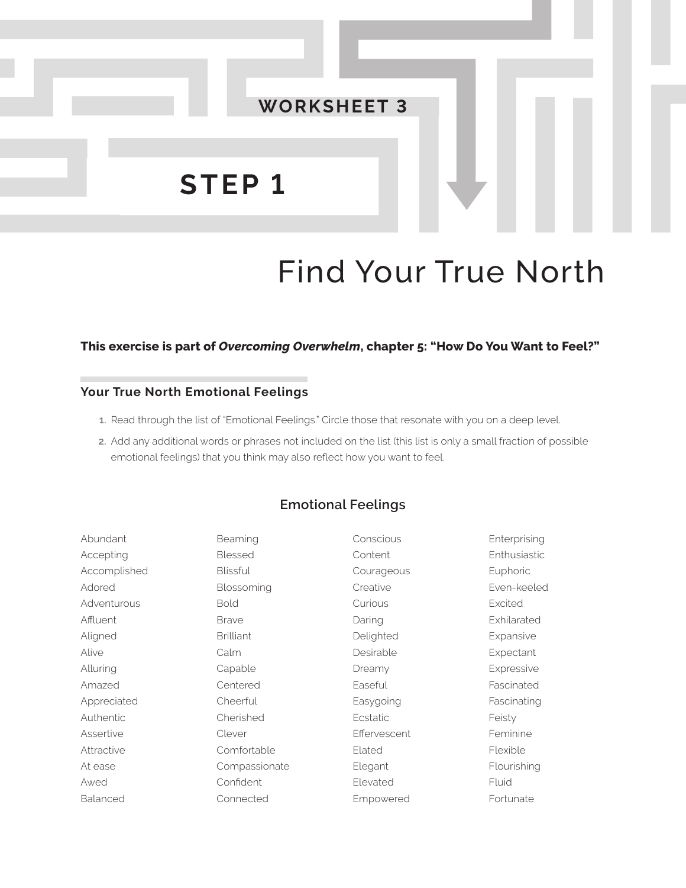

# Find Your True North

#### **This exercise is part of** *Overcoming Overwhelm***, chapter 5: "How Do You Want to Feel?"**

### **Your True North Emotional Feelings**

- **1.** Read through the list of "Emotional Feelings." Circle those that resonate with you on a deep level.
- **2.** Add any additional words or phrases not included on the list (this list is only a small fraction of possible emotional feelings) that you think may also reflect how you want to feel.

#### **Emotional Feelings**

| Abundant     | Beaming          | Conscious    | Enterprising |
|--------------|------------------|--------------|--------------|
| Accepting    | <b>Blessed</b>   | Content      | Enthusiastic |
| Accomplished | <b>Blissful</b>  | Courageous   | Euphoric     |
| Adored       | Blossoming       | Creative     | Even-keeled  |
| Adventurous  | <b>Bold</b>      | Curious      | Excited      |
| Affluent     | <b>Brave</b>     | Daring       | Exhilarated  |
| Aligned      | <b>Brilliant</b> | Delighted    | Expansive    |
| Alive        | Calm             | Desirable    | Expectant    |
| Alluring     | Capable          | Dreamy       | Expressive   |
| Amazed       | Centered         | Easeful      | Fascinated   |
| Appreciated  | Cheerful         | Easygoing    | Fascinating  |
| Authentic    | Cherished        | Ecstatic     | Feisty       |
| Assertive    | Clever           | Effervescent | Feminine     |
| Attractive   | Comfortable      | Elated       | Flexible     |
| At ease      | Compassionate    | Elegant      | Flourishing  |
| Awed         | Confident        | Elevated     | Fluid        |
| Balanced     | Connected        | Empowered    | Fortunate    |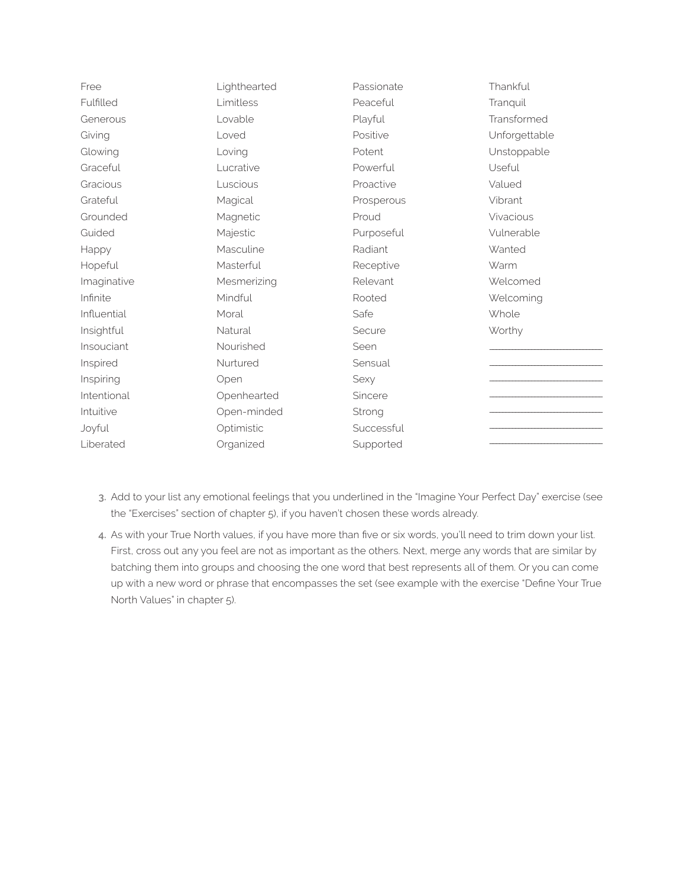| Free        | Lighthearted | Passionate | Thankful      |
|-------------|--------------|------------|---------------|
| Fulfilled   | Limitless    | Peaceful   | Tranquil      |
| Generous    | Lovable      | Playful    | Transformed   |
| Giving      | Loved        | Positive   | Unforgettable |
| Glowing     | Loving       | Potent     | Unstoppable   |
| Graceful    | Lucrative    | Powerful   | Useful        |
| Gracious    | Luscious     | Proactive  | Valued        |
| Grateful    | Magical      | Prosperous | Vibrant       |
| Grounded    | Magnetic     | Proud      | Vivacious     |
| Guided      | Majestic     | Purposeful | Vulnerable    |
| Happy       | Masculine    | Radiant    | Wanted        |
| Hopeful     | Masterful    | Receptive  | Warm          |
| Imaginative | Mesmerizing  | Relevant   | Welcomed      |
| Infinite    | Mindful      | Rooted     | Welcoming     |
| Influential | Moral        | Safe       | Whole         |
| Insightful  | Natural      | Secure     | Worthy        |
| Insouciant  | Nourished    | Seen       |               |
| Inspired    | Nurtured     | Sensual    |               |
| Inspiring   | Open         | Sexy       |               |
| Intentional | Openhearted  | Sincere    |               |
| Intuitive   | Open-minded  | Strong     |               |
| Joyful      | Optimistic   | Successful |               |
| Liberated   | Organized    | Supported  |               |
|             |              |            |               |

- **3.** Add to your list any emotional feelings that you underlined in the "Imagine Your Perfect Day" exercise (see the "Exercises" section of chapter 5), if you haven't chosen these words already.
- **4.** As with your True North values, if you have more than five or six words, you'll need to trim down your list. First, cross out any you feel are not as important as the others. Next, merge any words that are similar by batching them into groups and choosing the one word that best represents all of them. Or you can come up with a new word or phrase that encompasses the set (see example with the exercise "Define Your True North Values" in chapter 5).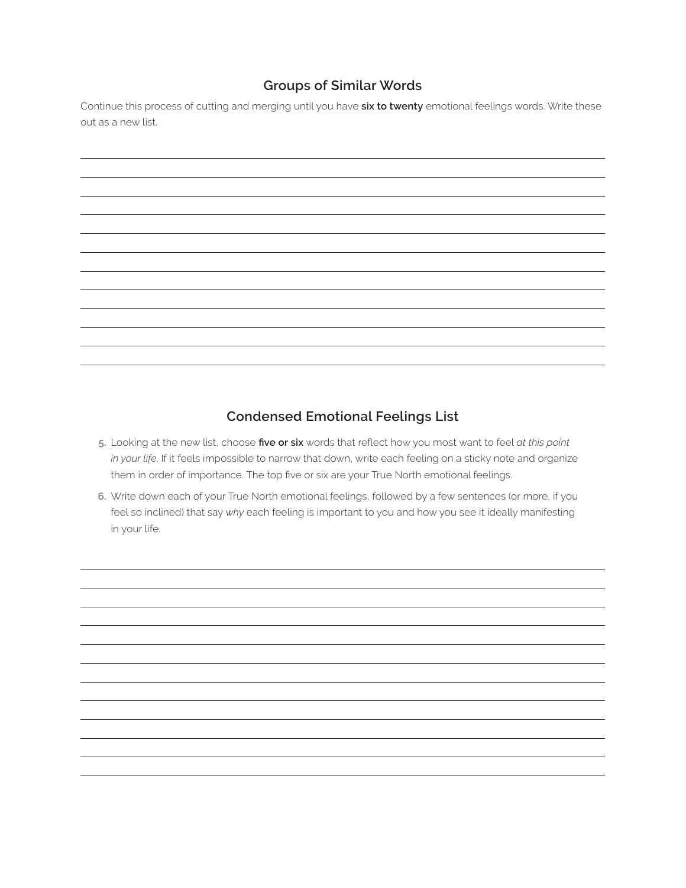## **Groups of Similar Words**

Continue this process of cutting and merging until you have **six to twenty** emotional feelings words. Write these out as a new list.

## **Condensed Emotional Feelings List**

- **5.** Looking at the new list, choose **five or six** words that reflect how you most want to feel *at this point in your life*. If it feels impossible to narrow that down, write each feeling on a sticky note and organize them in order of importance. The top five or six are your True North emotional feelings.
- **6.** Write down each of your True North emotional feelings, followed by a few sentences (or more, if you feel so inclined) that say *why* each feeling is important to you and how you see it ideally manifesting in your life.